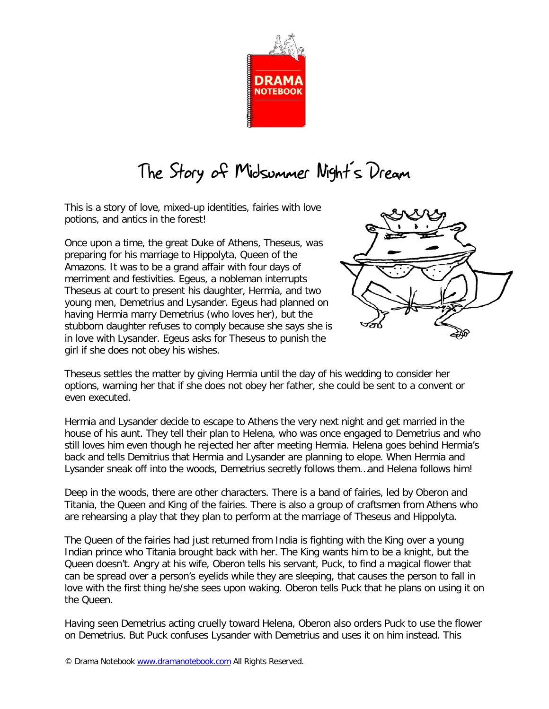

## The Story of Midsummer Night's Dream

This is a story of love, mixed-up identities, fairies with love potions, and antics in the forest!

Once upon a time, the great Duke of Athens, Theseus, was preparing for his marriage to Hippolyta, Queen of the Amazons. It was to be a grand affair with four days of merriment and festivities. Egeus, a nobleman interrupts Theseus at court to present his daughter, Hermia, and two young men, Demetrius and Lysander. Egeus had planned on having Hermia marry Demetrius (who loves her), but the stubborn daughter refuses to comply because she says she is in love with Lysander. Egeus asks for Theseus to punish the girl if she does not obey his wishes.



Theseus settles the matter by giving Hermia until the day of his wedding to consider her options, warning her that if she does not obey her father, she could be sent to a convent or even executed.

Hermia and Lysander decide to escape to Athens the very next night and get married in the house of his aunt. They tell their plan to Helena, who was once engaged to Demetrius and who still loves him even though he rejected her after meeting Hermia. Helena goes behind Hermia's back and tells Demitrius that Hermia and Lysander are planning to elope. When Hermia and Lysander sneak off into the woods, Demetrius secretly follows them…and Helena follows him!

Deep in the woods, there are other characters. There is a band of fairies, led by Oberon and Titania, the Queen and King of the fairies. There is also a group of craftsmen from Athens who are rehearsing a play that they plan to perform at the marriage of Theseus and Hippolyta.

The Queen of the fairies had just returned from India is fighting with the King over a young Indian prince who Titania brought back with her. The King wants him to be a knight, but the Queen doesn't. Angry at his wife, Oberon tells his servant, Puck, to find a magical flower that can be spread over a person's eyelids while they are sleeping, that causes the person to fall in love with the first thing he/she sees upon waking. Oberon tells Puck that he plans on using it on the Queen.

Having seen Demetrius acting cruelly toward Helena, Oberon also orders Puck to use the flower on Demetrius. But Puck confuses Lysander with Demetrius and uses it on him instead. This

<sup>©</sup> Drama Notebook www.dramanotebook.com All Rights Reserved.